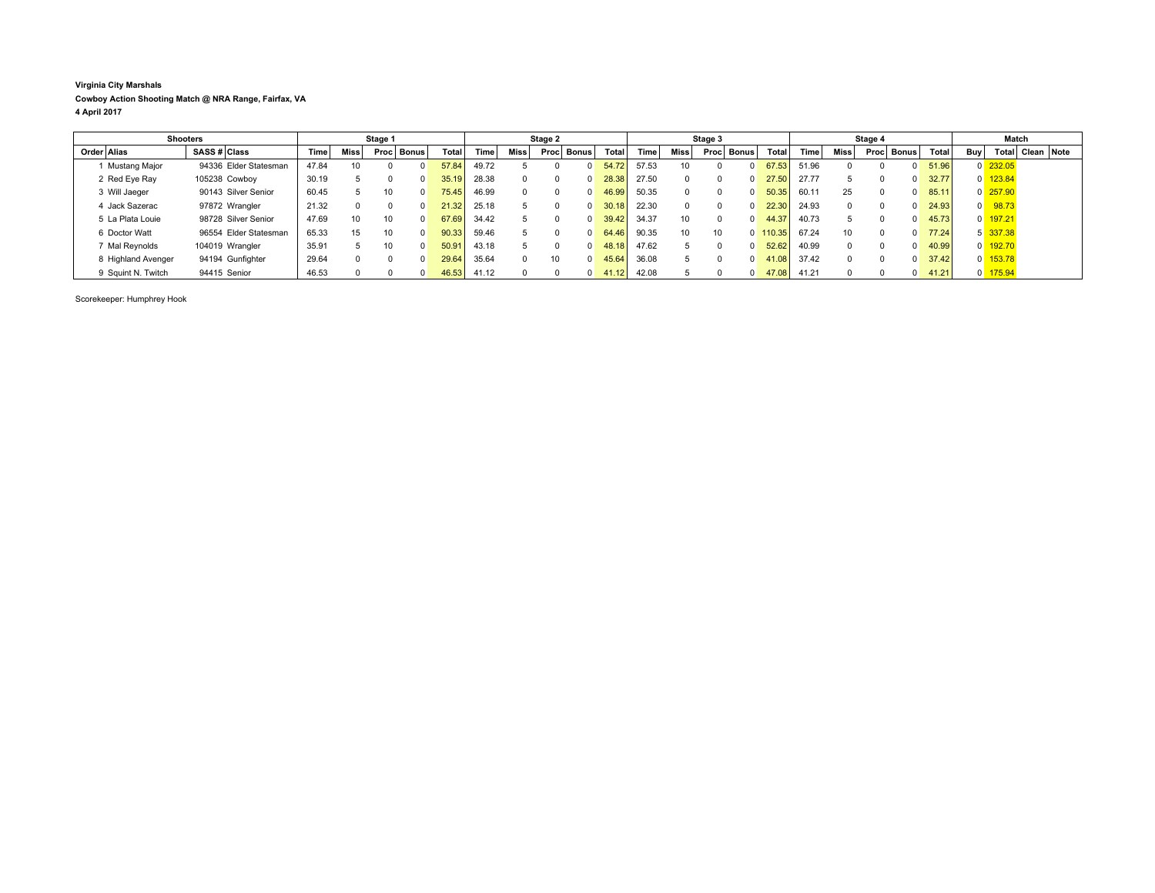## **Virginia City Marshals Cowboy Action Shooting Match @ NRA Range, Fairfax, VA 4 April 2017**

| <b>Shooters</b>    |                       | Stage 1     |                 |              |  | Stage 2 |       |        |              | Stage 3      |       |       | Stage 4 |            |                   |       | Match           |  |              |       |                |                       |                  |  |
|--------------------|-----------------------|-------------|-----------------|--------------|--|---------|-------|--------|--------------|--------------|-------|-------|---------|------------|-------------------|-------|-----------------|--|--------------|-------|----------------|-----------------------|------------------|--|
| Order Alias        | SASS # Class          | <b>Time</b> | <b>Miss</b>     | Proc   Bonus |  | Total   | Time  | Miss l | Proc         | <b>Bonus</b> | Total | Time  | Miss    | Proc Bonus | <b>Total</b>      | Time  | <b>Miss</b>     |  | Proc Bonus   | Total | Buy            |                       | Total Clean Note |  |
| 1 Mustang Major    | 94336 Elder Statesman | 47.84       |                 |              |  | 57.84   | 49.72 |        |              | $\Omega$     | 54.72 | 57.53 | 10      | $\Omega$   | 67.53             | 51.96 |                 |  | $\Omega$     | 51.96 |                | $0\overline{232.05}$  |                  |  |
| 2 Red Eye Ray      | 105238 Cowboy         | 30.19       |                 |              |  | 35.19   | 28.38 |        | 0            | $\Omega$     | 28.38 | 27.50 |         |            | 27.50<br>$\Omega$ | 27.77 |                 |  | 0            | 32.77 |                | $0$ 123.84            |                  |  |
| 3 Will Jaeger      | 90143 Silver Senior   | 60.45       |                 | 10           |  | 75.45   | 46.99 |        | 0            | $\Omega$     | 46.99 | 50.35 |         | $\Omega$   | 50.35             | 60.11 | 25              |  | $\Omega$     | 85.11 |                | $0\overline{257.90}$  |                  |  |
| 4 Jack Sazerac     | 97872 Wrangler        | 21.32       |                 |              |  | 21.32   | 25.18 |        |              | $\Omega$     | 30.18 | 22.30 |         | $\Omega$   | 22.30             | 24.93 |                 |  | $\Omega$     | 24.93 | $\overline{0}$ | 98.73                 |                  |  |
| 5 La Plata Louie   | 98728 Silver Senior   | 47.69       | 10 <sup>1</sup> | 10           |  | 67.69   | 34.42 |        |              | $\Omega$     | 39.42 | 34.37 | 10      | $\Omega$   | 44.37             | 40.73 |                 |  | 0            | 45.73 |                | 0 197.21              |                  |  |
| 6 Doctor Watt      | 96554 Elder Statesman | 65.33       | 15              | 10           |  | 90.33   | 59.46 |        | <sup>n</sup> | $\Omega$     | 64.46 | 90.35 | 10      | 10         | $0$ 110.35        | 67.24 | 10 <sup>1</sup> |  | $\Omega$     | 77.24 |                | 5 337.38              |                  |  |
| 7 Mal Reynolds     | 104019 Wrangler       | 35.91       |                 | 10           |  | 50.91   | 43.18 |        |              | $\Omega$     | 48.18 | 47.62 |         | $\Omega$   | 52.62             | 40.99 |                 |  | <sup>0</sup> | 40.99 |                | $0$ 192.70            |                  |  |
| 8 Highland Avenger | 94194 Gunfighter      | 29.64       |                 |              |  | 29.64   | 35.64 |        | 10           | $\Omega$     | 45.64 | 36.08 |         | $^{\circ}$ | 41.08             | 37.42 |                 |  | $\Omega$     | 37.42 |                | $0 \overline{153.78}$ |                  |  |
| 9 Squint N. Twitch | 94415 Senior          | 46.53       |                 |              |  | 46.53   | 41.12 |        | <sup>n</sup> | $\Omega$     | 41.12 | 42.08 |         | $^{\circ}$ | 47.08             | 41.21 |                 |  | $\Omega$     | 41.21 |                | 0 175.94              |                  |  |

Scorekeeper: Humphrey Hook